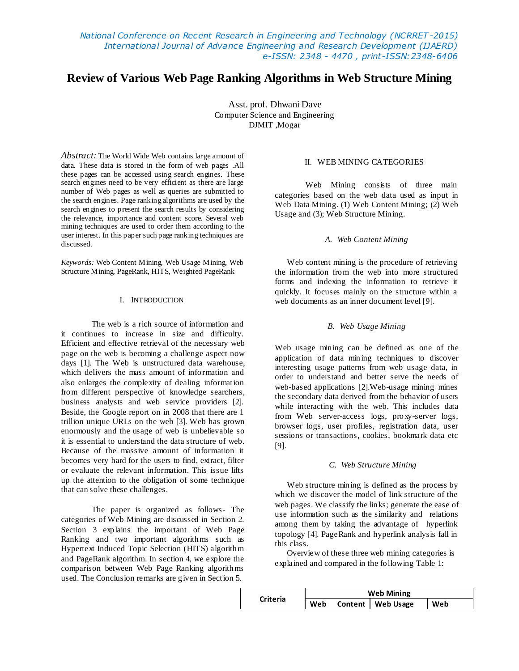*National Conference on Recent Research in Engineering and Technology (NCRRET -2015) International Journal of Advance Engineering and Research Development (IJAERD) e-ISSN: 2348 - 4470 , print-ISSN:2348-6406*

# **Review of Various Web Page Ranking Algorithms in Web Structure Mining**

Asst. prof. Dhwani Dave Computer Science and Engineering DJMIT ,Mogar

*Abstract:* The World Wide Web contains large amount of data. These data is stored in the form of web pages .All these pages can be accessed using search engines. These search engines need to be very efficient as there are large number of Web pages as well as queries are submitted to the search engines. Page ranking algorithms are used by the search engines to present the search results by considering the relevance, importance and content score. Several web mining techniques are used to order them according to the user interest. In this paper such page ranking techniques are discussed.

*Keywords:* Web Content Mining, Web Usage Mining, Web Structure Mining, PageRank, HITS, Weighted PageRank

# I. INTRODUCTION

The web is a rich source of information and it continues to increase in size and difficulty. Efficient and effective retrieval of the necessary web page on the web is becoming a challenge aspect now days [1]. The Web is unstructured data warehouse, which delivers the mass amount of information and also enlarges the complexity of dealing information from different perspective of knowledge searchers, business analysts and web service providers [2]. Beside, the Google report on in 2008 that there are 1 trillion unique URLs on the web [3]. Web has grown enormously and the usage of web is unbelievable so it is essential to understand the data structure of web. Because of the massive amount of information it becomes very hard for the users to find, extract, filter or evaluate the relevant information. This issue lifts up the attention to the obligation of some technique that can solve these challenges.

The paper is organized as follows- The categories of Web Mining are discussed in Section 2. Section 3 explains the important of Web Page Ranking and two important algorithms such as Hypertext Induced Topic Selection (HITS) algorithm and PageRank algorithm. In section 4, we explore the comparison between Web Page Ranking algorithms used. The Conclusion remarks are given in Section 5.

#### II. WEB MINING CATEGORIES

Web Mining consists of three main categories based on the web data used as input in Web Data Mining. (1) Web Content Mining; (2) Web Usage and (3); Web Structure Mining.

# *A. Web Content Mining*

Web content mining is the procedure of retrieving the information from the web into more structured forms and indexing the information to retrieve it quickly. It focuses mainly on the structure within a web documents as an inner document level [9].

# *B. Web Usage Mining*

Web usage mining can be defined as one of the application of data mining techniques to discover interesting usage patterns from web usage data, in order to understand and better serve the needs of web-based applications [2].Web-usage mining mines the secondary data derived from the behavior of users while interacting with the web. This includes data from Web server-access logs, proxy-server logs, browser logs, user profiles, registration data, user sessions or transactions, cookies, bookmark data etc [9].

#### *C. Web Structure Mining*

Web structure mining is defined as the process by which we discover the model of link structure of the web pages. We classify the links; generate the ease of use information such as the similarity and relations among them by taking the advantage of hyperlink topology [4]. PageRank and hyperlink analysis fall in this class.

Overview of these three web mining categories is explained and compared in the following Table 1:

| <b>Criteria</b> | <b>Web Mining</b> |  |                     |     |
|-----------------|-------------------|--|---------------------|-----|
|                 | Web               |  | Content   Web Usage | Web |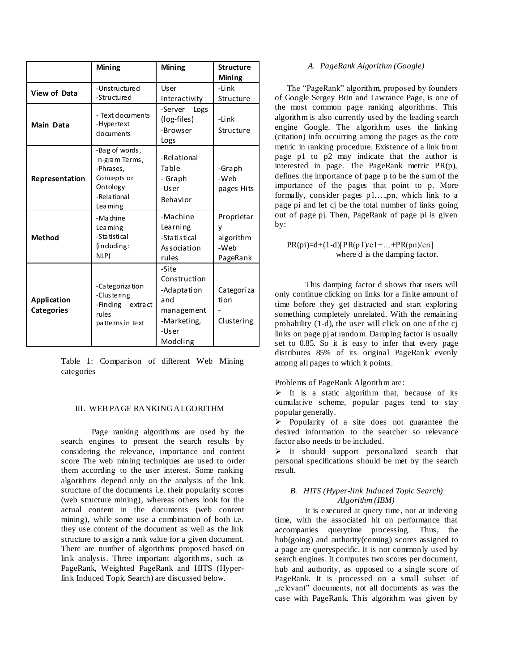|                                  | Mining                                                                                             | Mining                                                                                        | <b>Structure</b><br>Mining                       |
|----------------------------------|----------------------------------------------------------------------------------------------------|-----------------------------------------------------------------------------------------------|--------------------------------------------------|
| View of Data                     | -Unstructure d<br>-Structured                                                                      | User<br>Interactivity                                                                         | -Link<br>Structure                               |
| Main Data                        | - Text documents<br>-Hype rtext<br>documents                                                       | -Server<br>Logs<br>(log-files)<br>-Browser<br>Logs                                            | -Link<br>Structure                               |
| Representation                   | -Bag of words,<br>n-gram Terms,<br>-Phrases,<br>Concepts or<br>Ontology<br>-Relational<br>Lea ming | -Relational<br>Table<br>- Graph<br>-User<br>Behavior                                          | -Graph<br>-Web<br>pages Hits                     |
| <b>Method</b>                    | -Machine<br>Lea ming<br>-Statistical<br>(induding:<br>NLP)                                         | -Machine<br>Learning<br>-Statistical<br>Association<br>rules                                  | Proprietar<br>у<br>algorithm<br>-Web<br>PageRank |
| Application<br><b>Categories</b> | -Ca tegoriza tion<br>-Clustering<br>-Finding extract<br>rules<br>patterns in text                  | -Site<br>Construction<br>-Adaptation<br>and<br>management<br>-Marketing,<br>-User<br>Modeling | Categoriza<br>tion<br>Clustering                 |

Table 1: Comparison of different Web Mining categories

#### III. WEB PAGE RANKINGALGORITHM

Page ranking algorithms are used by the search engines to present the search results by considering the relevance, importance and content score The web mining techniques are used to order them according to the user interest. Some ranking algorithms depend only on the analysis of the link structure of the documents i.e. their popularity scores (web structure mining), whereas others look for the actual content in the documents (web content mining), while some use a combination of both i.e. they use content of the document as well as the link structure to assign a rank value for a given document. There are number of algorithms proposed based on link analysis. Three important algorithms, such as PageRank, Weighted PageRank and HITS (Hyperlink Induced Topic Search) are discussed below.

## *A. PageRank Algorithm (Google)*

The "PageRank" algorithm, proposed by founders of Google Sergey Brin and Lawrance Page, is one of the most common page ranking algorithms. This algorithm is also currently used by the leading search engine Google. The algorithm uses the linking (citation) info occurring among the pages as the core metric in ranking procedure. Existence of a link from page p1 to p2 may indicate that the author is interested in page. The PageRank metric PR(p), defines the importance of page p to be the sum of the importance of the pages that point to p. More formally, consider pages p1,…,pn, which link to a page pi and let cj be the total number of links going out of page pj. Then, PageRank of page pi is given by:

#### $PR(pi)=d+(1-d)[PR(p1)/c1+...+PR(pn)/cn]$ where d is the damping factor.

This damping factor d shows that users will only continue clicking on links for a finite amount of time before they get distracted and start exploring something completely unrelated. With the remaining probability (1-d), the user will click on one of the cj links on page pj at random. Damping factor is usually set to 0.85. So it is easy to infer that every page distributes 85% of its original PageRank evenly among all pages to which it points.

# Problems of PageRank Algorithm are:

 $\triangleright$  It is a static algorithm that, because of its cumulative scheme, popular pages tend to stay popular generally.

Popularity of a site does not guarantee the desired information to the searcher so relevance factor also needs to be included.

 $\triangleright$  It should support personalized search that personal specifications should be met by the search result.

# *B. HITS (Hyper-link Induced Topic Search) Algorithm (IBM)*

It is executed at query time, not at indexing time, with the associated hit on performance that accompanies querytime processing. Thus, the hub(going) and authority(coming) scores assigned to a page are queryspecific. It is not commonly used by search engines. It computes two scores per document, hub and authority, as opposed to a single score of PageRank. It is processed on a small subset of "relevant" documents, not all documents as was the case with PageRank. This algorithm was given by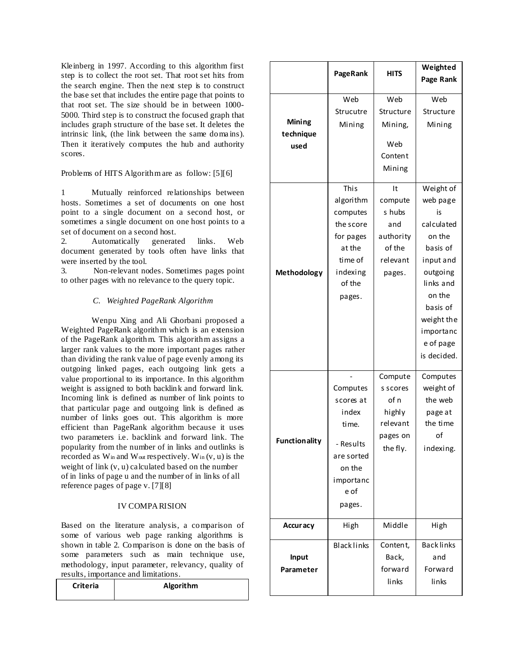Kleinberg in 1997. According to this algorithm first step is to collect the root set. That root set hits from the search engine. Then the next step is to construct the base set that includes the entire page that points to that root set. The size should be in between 1000- 5000. Third step is to construct the focused graph that includes graph structure of the base set. It deletes the intrinsic link, (the link between the same doma ins). Then it iteratively computes the hub and authority scores.

Problems of HITS Algorithm are as follow: [5][6]

1 Mutually reinforced relationships between hosts. Sometimes a set of documents on one host point to a single document on a second host, or sometimes a single document on one host points to a set of document on a second host.

2. Automatically generated links. Web document generated by tools often have links that were inserted by the tool.

3. Non-relevant nodes. Sometimes pages point to other pages with no relevance to the query topic.

# *C. Weighted PageRank Algorithm*

Wenpu Xing and Ali Ghorbani proposed a Weighted PageRank algorithm which is an extension of the PageRank algorithm. This algorithm assigns a larger rank values to the more important pages rather than dividing the rank value of page evenly among its outgoing linked pages, each outgoing link gets a value proportional to its importance. In this algorithm weight is assigned to both backlink and forward link. Incoming link is defined as number of link points to that particular page and outgoing link is defined as number of links goes out. This algorithm is more efficient than PageRank algorithm because it uses two parameters i.e. backlink and forward link. The popularity from the number of in links and outlinks is recorded as Win and Wout respectively. Win (v, u) is the weight of link (v, u) calculated based on the number of in links of page u and the number of in links of all reference pages of page v. [7][8]

# IV COMPARISION

Based on the literature analysis, a comparison of some of various web page ranking algorithms is shown in table 2. Comparison is done on the basis of some parameters such as main technique use, methodology, input parameter, relevancy, quality of results, importance and limitations.

| <b>Criteria</b> | Algorithm |
|-----------------|-----------|
|                 |           |

|                             | PageRank             | <b>HITS</b> | Weighted<br>Page Rank |
|-----------------------------|----------------------|-------------|-----------------------|
|                             | Web                  | Web         | Web                   |
| Mining<br>technique<br>used | Strucutre            | Structure   | Structure             |
|                             | Mining               | Mining,     | Mining                |
|                             |                      | Web         |                       |
|                             |                      | Content     |                       |
|                             |                      | Mining      |                       |
|                             | This                 | It          | Weight of             |
|                             | algorithm            | compute     | web page              |
|                             | computes             | s hubs      | is                    |
|                             | the score            | and         | calculated            |
|                             | for pages            | authority   | on the                |
|                             | at the               | of the      | basis of              |
|                             | time of              | relevant    | input and             |
| Methodology                 | indexing             | pages.      | outgoing              |
|                             | of the               |             | links and             |
|                             | pages.               |             | on the                |
|                             |                      |             | basis of              |
|                             |                      |             | weight the            |
|                             |                      |             | importanc             |
|                             |                      |             | e of page             |
|                             |                      |             | is decided.           |
|                             |                      | Compute     | Computes              |
|                             | Computes             | s scores    | weight of             |
|                             | scores at            | of n        | the web               |
|                             | index                | highly      | page at               |
|                             | time.                | relevant    | the time              |
| <b>Functionality</b>        |                      | pages on    | of                    |
|                             | - Results            | the fly.    | indexing.             |
|                             | are sorted<br>on the |             |                       |
|                             |                      |             |                       |
|                             | importanc<br>e of    |             |                       |
|                             |                      |             |                       |
|                             | pages.               |             |                       |
| <b>Accuracy</b>             | High                 | Middle      | High                  |
|                             | <b>Blacklinks</b>    | Content,    | <b>Backlinks</b>      |
| Input                       |                      | Back,       | and                   |
| Parameter                   |                      | forward     | Forward               |
|                             |                      | links       | links                 |
|                             |                      |             |                       |